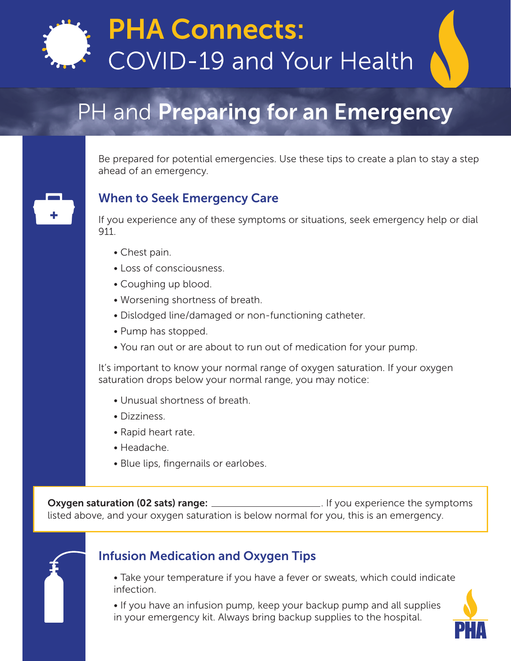

# **PHA Connects: COVID-19 and Your Health**

## PH and Preparing for an Emergency

#### Be prepared for potential emergencies. Use these tips to create a plan to stay a step ahead of an emergency.

#### When to Seek Emergency Care



If you experience any of these symptoms or situations, seek emergency help or dial 911.

- Chest pain.
- Loss of consciousness.
- Coughing up blood.
- Worsening shortness of breath.
- Dislodged line/damaged or non-functioning catheter.
- Pump has stopped.
- You ran out or are about to run out of medication for your pump.

It's important to know your normal range of oxygen saturation. If your oxygen saturation drops below your normal range, you may notice:

- Unusual shortness of breath.
- Dizziness.
- Rapid heart rate.
- Headache.
- Blue lips, fingernails or earlobes.

Oxygen saturation (02 sats) range: . If you experience the symptoms listed above, and your oxygen saturation is below normal for you, this is an emergency.



## Infusion Medication and Oxygen Tips

• Take your temperature if you have a fever or sweats, which could indicate infection.

• If you have an infusion pump, keep your backup pump and all supplies in your emergency kit. Always bring backup supplies to the hospital.

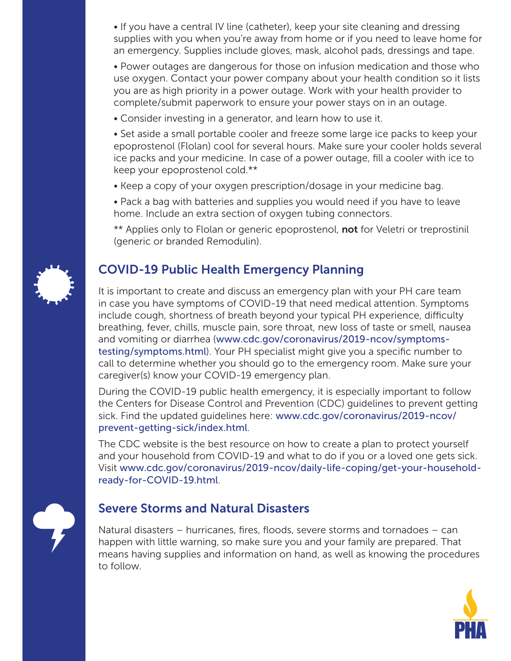• If you have a central IV line (catheter), keep your site cleaning and dressing supplies with you when you're away from home or if you need to leave home for an emergency. Supplies include gloves, mask, alcohol pads, dressings and tape.

• Power outages are dangerous for those on infusion medication and those who use oxygen. Contact your power company about your health condition so it lists you are as high priority in a power outage. Work with your health provider to complete/submit paperwork to ensure your power stays on in an outage.

• Consider investing in a generator, and learn how to use it.

• Set aside a small portable cooler and freeze some large ice packs to keep your epoprostenol (Flolan) cool for several hours. Make sure your cooler holds several ice packs and your medicine. In case of a power outage, fill a cooler with ice to keep your epoprostenol cold.\*\*

- Keep a copy of your oxygen prescription/dosage in your medicine bag.
- Pack a bag with batteries and supplies you would need if you have to leave home. Include an extra section of oxygen tubing connectors.

\*\* Applies only to Flolan or generic epoprostenol, not for Veletri or treprostinil (generic or branded Remodulin).

## COVID-19 Public Health Emergency Planning

It is important to create and discuss an emergency plan with your PH care team in case you have symptoms of COVID-19 that need medical attention. Symptoms include cough, shortness of breath beyond your typical PH experience, difficulty breathing, fever, chills, muscle pain, sore throat, new loss of taste or smell, nausea and vomiting or diarrhea ([www.cdc.gov/coronavirus/2019-ncov/symptoms](http://www.cdc.gov/coronavirus/2019-ncov/symptoms-testing/symptoms.html)[testing/symptoms.html](http://www.cdc.gov/coronavirus/2019-ncov/symptoms-testing/symptoms.html)). Your PH specialist might give you a specific number to call to determine whether you should go to the emergency room. Make sure your caregiver(s) know your COVID-19 emergency plan.

During the COVID-19 public health emergency, it is especially important to follow the Centers for Disease Control and Prevention (CDC) guidelines to prevent getting sick. Find the updated guidelines here: [www.cdc.gov/coronavirus/2019-ncov/](http://www.cdc.gov/coronavirus/2019-ncov/prevent-getting-sick/index.html) [prevent-getting-sick/index.html](http://www.cdc.gov/coronavirus/2019-ncov/prevent-getting-sick/index.html).

The CDC website is the best resource on how to create a plan to protect yourself and your household from COVID-19 and what to do if you or a loved one gets sick. Visit [www.cdc.gov/coronavirus/2019-ncov/daily-life-coping/get-your-household](http://www.cdc.gov/coronavirus/2019-ncov/daily-life-coping/get-your-household-ready-for-COVID-19.html)[ready-for-COVID-19.html](http://www.cdc.gov/coronavirus/2019-ncov/daily-life-coping/get-your-household-ready-for-COVID-19.html).



#### Severe Storms and Natural Disasters

Natural disasters – hurricanes, fires, floods, severe storms and tornadoes – can happen with little warning, so make sure you and your family are prepared. That means having supplies and information on hand, as well as knowing the procedures to follow.

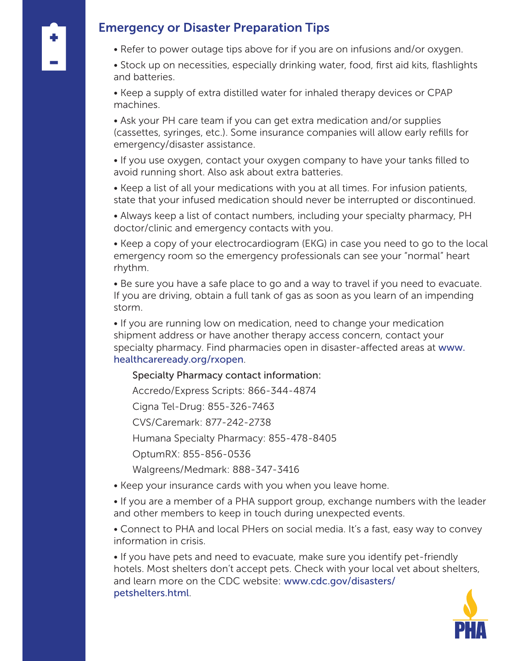#### Emergency or Disaster Preparation Tips

• Refer to power outage tips above for if you are on infusions and/or oxygen.

• Stock up on necessities, especially drinking water, food, first aid kits, flashlights and batteries.

• Keep a supply of extra distilled water for inhaled therapy devices or CPAP machines.

• Ask your PH care team if you can get extra medication and/or supplies (cassettes, syringes, etc.). Some insurance companies will allow early refills for emergency/disaster assistance.

• If you use oxygen, contact your oxygen company to have your tanks filled to avoid running short. Also ask about extra batteries.

• Keep a list of all your medications with you at all times. For infusion patients, state that your infused medication should never be interrupted or discontinued.

• Always keep a list of contact numbers, including your specialty pharmacy, PH doctor/clinic and emergency contacts with you.

• Keep a copy of your electrocardiogram (EKG) in case you need to go to the local emergency room so the emergency professionals can see your "normal" heart rhythm.

• Be sure you have a safe place to go and a way to travel if you need to evacuate. If you are driving, obtain a full tank of gas as soon as you learn of an impending storm.

• If you are running low on medication, need to change your medication shipment address or have another therapy access concern, contact your specialty pharmacy. Find pharmacies open in disaster-affected areas at [www.](http://www.healthcareready.org/rxopen) [healthcareready.org/rxopen](http://www.healthcareready.org/rxopen).

#### Specialty Pharmacy contact information:

Accredo/Express Scripts: 866-344-4874

Cigna Tel-Drug: 855-326-7463

CVS/Caremark: 877-242-2738

Humana Specialty Pharmacy: 855-478-8405

OptumRX: 855-856-0536

Walgreens/Medmark: 888-347-3416

• Keep your insurance cards with you when you leave home.

• If you are a member of a PHA support group, exchange numbers with the leader and other members to keep in touch during unexpected events.

• Connect to PHA and local PHers on social media. It's a fast, easy way to convey information in crisis.

• If you have pets and need to evacuate, make sure you identify pet-friendly hotels. Most shelters don't accept pets. Check with your local vet about shelters, and learn more on the CDC website: [www.cdc.gov/disasters/](http://www.cdc.gov/disasters/petshelters.html) [petshelters.html](http://www.cdc.gov/disasters/petshelters.html).

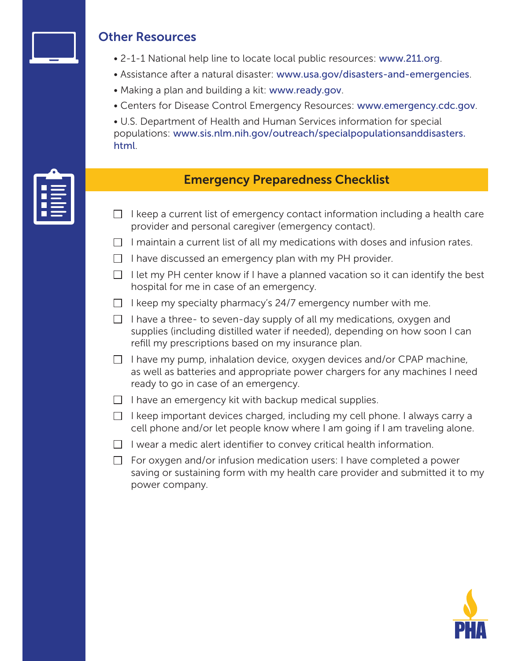

#### Other Resources

- 2-1-1 National help line to locate local public resources: [www.211.org](http://www.211.org).
- Assistance after a natural disaster: [www.usa.gov/disasters-and-emergencies](http://www.usa.gov/disasters-and-emergencies).
- Making a plan and building a kit: [www.ready.gov](http://www.ready.gov).
- Centers for Disease Control Emergency Resources: [www.emergency.cdc.gov](http://www.emergency.cdc.gov/).

• U.S. Department of Health and Human Services information for special populations: [www.sis.nlm.nih.gov/outreach/specialpopulationsanddisasters.](http://www.sis.nlm.nih.gov/outreach/specialpopulationsanddisasters.html) [html](http://www.sis.nlm.nih.gov/outreach/specialpopulationsanddisasters.html).

#### Emergency Preparedness Checklist

- $\Box$  I keep a current list of emergency contact information including a health care provider and personal caregiver (emergency contact).
- $\Box$  I maintain a current list of all my medications with doses and infusion rates.
- $\Box$  I have discussed an emergency plan with my PH provider.
- $\Box$  I let my PH center know if I have a planned vacation so it can identify the best hospital for me in case of an emergency.
- $\Box$  I keep my specialty pharmacy's 24/7 emergency number with me.
- $\Box$  I have a three- to seven-day supply of all my medications, oxygen and supplies (including distilled water if needed), depending on how soon I can refill my prescriptions based on my insurance plan.
- $\Box$  I have my pump, inhalation device, oxygen devices and/or CPAP machine, as well as batteries and appropriate power chargers for any machines I need ready to go in case of an emergency.
- $\Box$  I have an emergency kit with backup medical supplies.
- $\Box$  I keep important devices charged, including my cell phone. I always carry a cell phone and/or let people know where I am going if I am traveling alone.
- $\Box$  I wear a medic alert identifier to convey critical health information.
- $\Box$  For oxygen and/or infusion medication users: I have completed a power saving or sustaining form with my health care provider and submitted it to my power company.